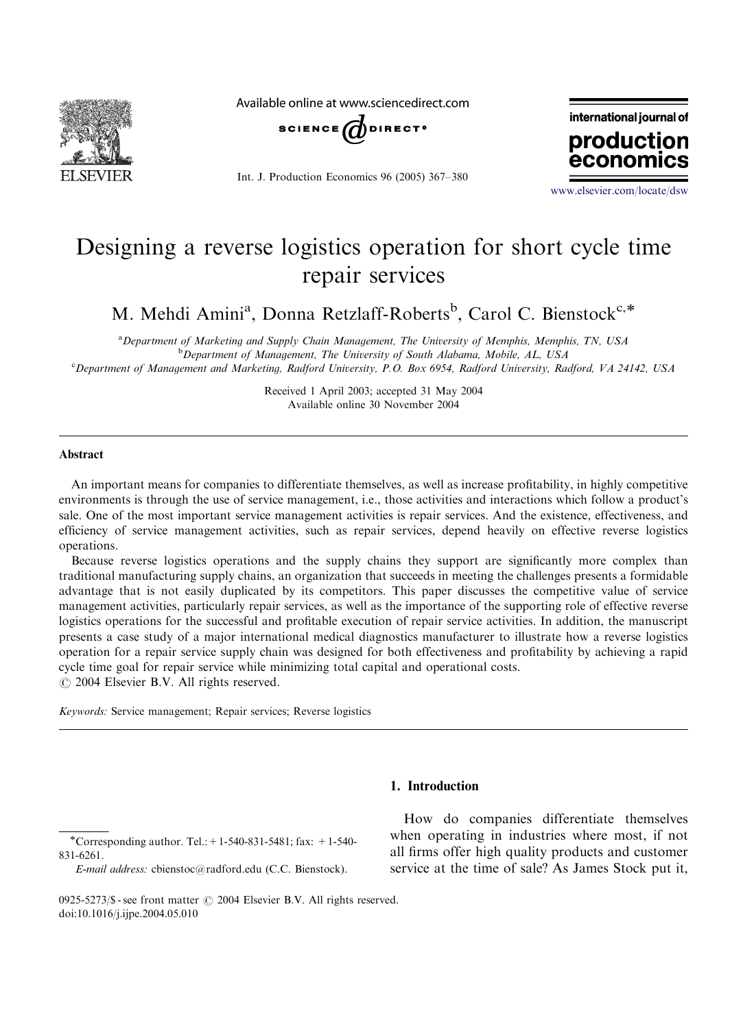

Available online at www.sciencedirect.com



Int. J. Production Economics 96 (2005) 367–380



<www.elsevier.com/locate/dsw>

## Designing a reverse logistics operation for short cycle time repair services

M. Mehdi Amini<sup>a</sup>, Donna Retzlaff-Roberts<sup>b</sup>, Carol C. Bienstock<sup>c,\*</sup>

a Department of Marketing and Supply Chain Management, The University of Memphis, Memphis, TN, USA <sup>b</sup>Department of Management, The University of South Alabama, Mobile, AL, USA c Department of Management and Marketing, Radford University, P.O. Box 6954, Radford University, Radford, VA 24142, USA

> Received 1 April2003; accepted 31 May 2004 Available online 30 November 2004

#### Abstract

An important means for companies to differentiate themselves, as well as increase profitability, in highly competitive environments is through the use of service management, i.e., those activities and interactions which follow a product's sale. One of the most important service management activities is repair services. And the existence, effectiveness, and efficiency of service management activities, such as repair services, depend heavily on effective reverse logistics operations.

Because reverse logistics operations and the supply chains they support are significantly more complex than traditional manufacturing supply chains, an organization that succeeds in meeting the challenges presents a formidable advantage that is not easily duplicated by its competitors. This paper discusses the competitive value of service management activities, particularly repair services, as well as the importance of the supporting role of effective reverse logistics operations for the successful and profitable execution of repair service activities. In addition, the manuscript presents a case study of a major international medical diagnostics manufacturer to illustrate how a reverse logistics operation for a repair service supply chain was designed for both effectiveness and profitability by achieving a rapid cycle time goal for repair service while minimizing total capital and operational costs.  $\odot$  2004 Elsevier B.V. All rights reserved.

Keywords: Service management; Repair services; Reverse logistics

#### 1. Introduction

\*Corresponding author. Tel.:  $+1-540-831-5481$ ; fax:  $+1-540-$ 831-6261.

E-mail address: cbienstoc@radford.edu (C.C. Bienstock).

How do companies differentiate themselves when operating in industries where most, if not all firms offer high quality products and customer service at the time of sale? As James Stock put it,

<sup>0925-5273/\$ -</sup> see front matter  $\odot$  2004 Elsevier B.V. All rights reserved. doi:10.1016/j.ijpe.2004.05.010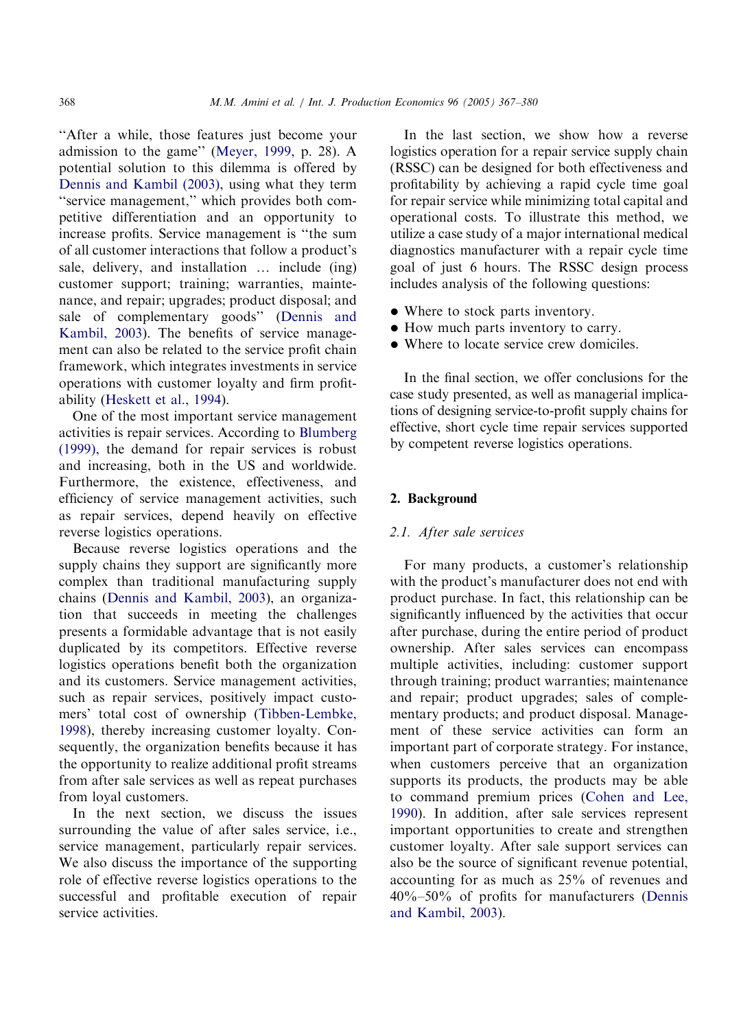''After a while, those features just become your admission to the game'' ([Meyer, 1999](#page--1-0), p. 28). A potential solution to this dilemma is offered by Dennis and Kambil (2003), using what they term ''service management,'' which provides both competitive differentiation and an opportunity to increase profits. Service management is ''the sum of all customer interactions that follow a product's sale, delivery, and installation  $\ldots$  include (ing) customer support; training; warranties, maintenance, and repair; upgrades; product disposal; and sale of complementary goods'' ([Dennis and](#page--1-0) [Kambil, 2003\)](#page--1-0). The benefits of service management can also be related to the service profit chain framework, which integrates investments in service operations with customer loyalty and firm profitability [\(Heskett et al., 1994\)](#page--1-0).

One of the most important service management activities is repair services. According to [Blumberg](#page--1-0) [\(1999\)](#page--1-0), the demand for repair services is robust and increasing, both in the US and worldwide. Furthermore, the existence, effectiveness, and efficiency of service management activities, such as repair services, depend heavily on effective reverse logistics operations.

Because reverse logistics operations and the supply chains they support are significantly more complex than traditional manufacturing supply chains [\(Dennis and Kambil, 2003\)](#page--1-0), an organization that succeeds in meeting the challenges presents a formidable advantage that is not easily duplicated by its competitors. Effective reverse logistics operations benefit both the organization and its customers. Service management activities, such as repair services, positively impact custo-mers' total cost of ownership ([Tibben-Lembke,](#page--1-0) [1998](#page--1-0)), thereby increasing customer loyalty. Consequently, the organization benefits because it has the opportunity to realize additional profit streams from after sale services as well as repeat purchases from loyal customers.

In the next section, we discuss the issues surrounding the value of after sales service, i.e., service management, particularly repair services. We also discuss the importance of the supporting role of effective reverse logistics operations to the successful and profitable execution of repair service activities.

In the last section, we show how a reverse logistics operation for a repair service supply chain (RSSC) can be designed for both effectiveness and profitability by achieving a rapid cycle time goal for repair service while minimizing total capital and operational costs. To illustrate this method, we utilize a case study of a major international medical diagnostics manufacturer with a repair cycle time goalof just 6 hours. The RSSC design process includes analysis of the following questions:

- Where to stock parts inventory.
- How much parts inventory to carry.
- Where to locate service crew domiciles.

In the final section, we offer conclusions for the case study presented, as well as managerial implications of designing service-to-profit supply chains for effective, short cycle time repair services supported by competent reverse logistics operations.

## 2. Background

### 2.1. After sale services

For many products, a customer's relationship with the product's manufacturer does not end with product purchase. In fact, this relationship can be significantly influenced by the activities that occur after purchase, during the entire period of product ownership. After sales services can encompass multiple activities, including: customer support through training; product warranties; maintenance and repair; product upgrades; sales of complementary products; and product disposal. Management of these service activities can form an important part of corporate strategy. For instance, when customers perceive that an organization supports its products, the products may be able to command premium prices ([Cohen and Lee,](#page--1-0) [1990\)](#page--1-0). In addition, after sale services represent important opportunities to create and strengthen customer loyalty. After sale support services can also be the source of significant revenue potential, accounting for as much as 25% of revenues and 40%–50% of profits for manufacturers ([Dennis](#page--1-0) [and Kambil, 2003](#page--1-0)).